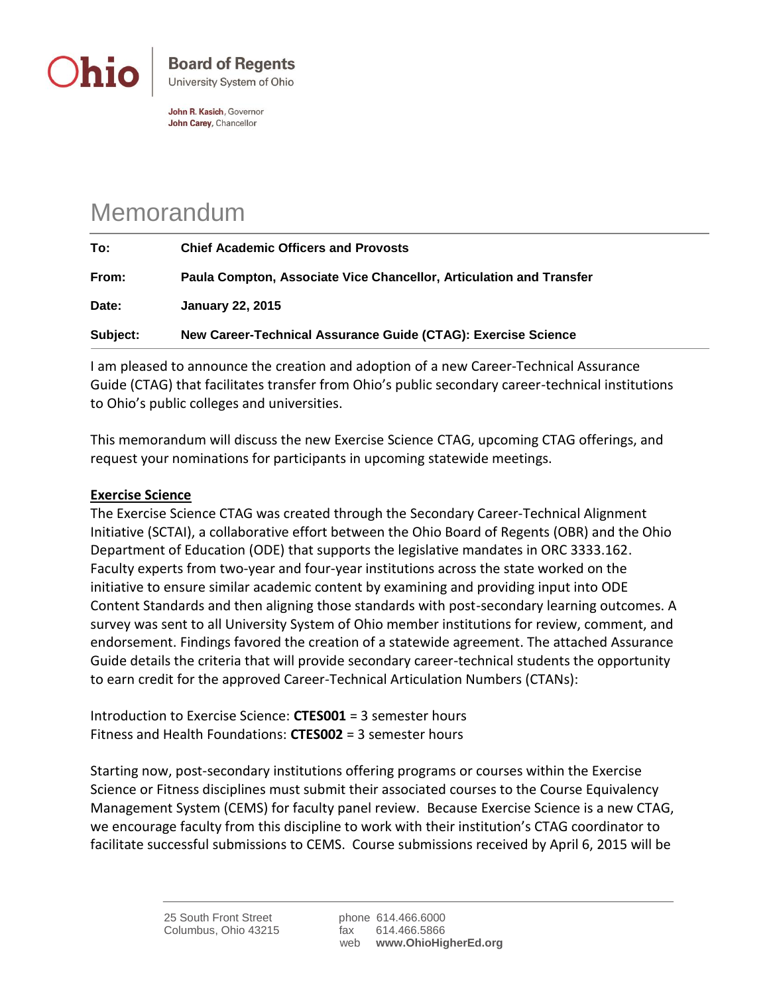

John R. Kasich, Governor John Carey, Chancellor

## Memorandum

| To:      | <b>Chief Academic Officers and Provosts</b>                         |
|----------|---------------------------------------------------------------------|
| From:    | Paula Compton, Associate Vice Chancellor, Articulation and Transfer |
| Date:    | <b>January 22, 2015</b>                                             |
| Subject: | New Career-Technical Assurance Guide (CTAG): Exercise Science       |

I am pleased to announce the creation and adoption of a new Career-Technical Assurance Guide (CTAG) that facilitates transfer from Ohio's public secondary career-technical institutions to Ohio's public colleges and universities.

This memorandum will discuss the new Exercise Science CTAG, upcoming CTAG offerings, and request your nominations for participants in upcoming statewide meetings.

## **Exercise Science**

The Exercise Science CTAG was created through the Secondary Career-Technical Alignment Initiative (SCTAI), a collaborative effort between the Ohio Board of Regents (OBR) and the Ohio Department of Education (ODE) that supports the legislative mandates in ORC 3333.162. Faculty experts from two-year and four-year institutions across the state worked on the initiative to ensure similar academic content by examining and providing input into ODE Content Standards and then aligning those standards with post-secondary learning outcomes. A survey was sent to all University System of Ohio member institutions for review, comment, and endorsement. Findings favored the creation of a statewide agreement. The attached Assurance Guide details the criteria that will provide secondary career-technical students the opportunity to earn credit for the approved Career-Technical Articulation Numbers (CTANs):

Introduction to Exercise Science: **CTES001** = 3 semester hours Fitness and Health Foundations: **CTES002** = 3 semester hours

Starting now, post-secondary institutions offering programs or courses within the Exercise Science or Fitness disciplines must submit their associated courses to the Course Equivalency Management System (CEMS) for faculty panel review. Because Exercise Science is a new CTAG, we encourage faculty from this discipline to work with their institution's CTAG coordinator to facilitate successful submissions to CEMS. Course submissions received by April 6, 2015 will be